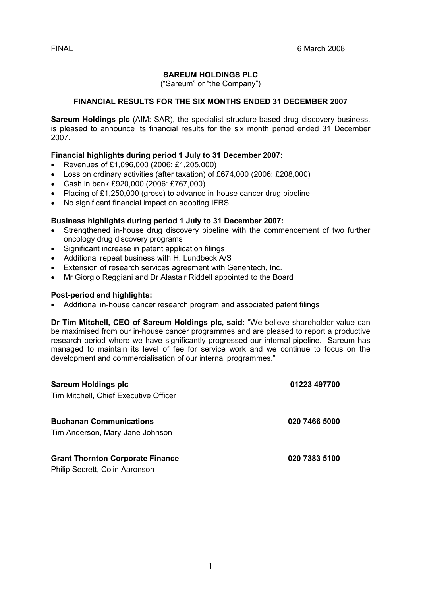# SAREUM HOLDINGS PLC

("Sareum" or "the Company")

# FINANCIAL RESULTS FOR THE SIX MONTHS ENDED 31 DECEMBER 2007

Sareum Holdings plc (AIM: SAR), the specialist structure-based drug discovery business, is pleased to announce its financial results for the six month period ended 31 December 2007.

# Financial highlights during period 1 July to 31 December 2007:

- Revenues of £1,096,000 (2006: £1,205,000)
- Loss on ordinary activities (after taxation) of £674,000 (2006: £208,000)
- Cash in bank £920,000 (2006: £767,000)
- Placing of £1,250,000 (gross) to advance in-house cancer drug pipeline
- No significant financial impact on adopting IFRS

# Business highlights during period 1 July to 31 December 2007:

- Strengthened in-house drug discovery pipeline with the commencement of two further oncology drug discovery programs
- Significant increase in patent application filings
- Additional repeat business with H. Lundbeck A/S
- Extension of research services agreement with Genentech, Inc.
- Mr Giorgio Reggiani and Dr Alastair Riddell appointed to the Board

# Post-period end highlights:

• Additional in-house cancer research program and associated patent filings

Dr Tim Mitchell, CEO of Sareum Holdings plc, said: "We believe shareholder value can be maximised from our in-house cancer programmes and are pleased to report a productive research period where we have significantly progressed our internal pipeline. Sareum has managed to maintain its level of fee for service work and we continue to focus on the development and commercialisation of our internal programmes."

| <b>Sareum Holdings plc</b>                                                | 01223 497700  |
|---------------------------------------------------------------------------|---------------|
| Tim Mitchell, Chief Executive Officer                                     |               |
| <b>Buchanan Communications</b><br>Tim Anderson, Mary-Jane Johnson         | 020 7466 5000 |
| <b>Grant Thornton Corporate Finance</b><br>Philip Secrett, Colin Aaronson | 020 7383 5100 |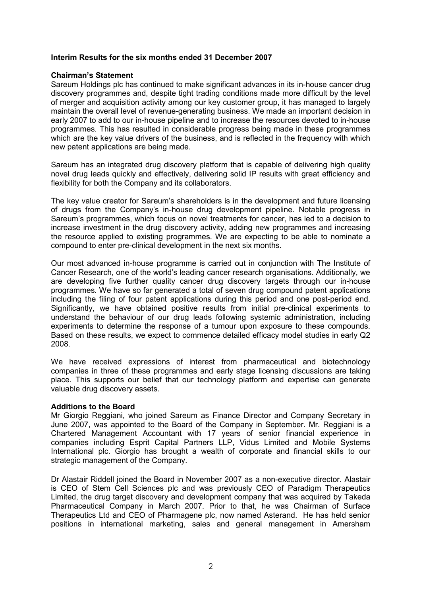# Interim Results for the six months ended 31 December 2007

## Chairman's Statement

Sareum Holdings plc has continued to make significant advances in its in-house cancer drug discovery programmes and, despite tight trading conditions made more difficult by the level of merger and acquisition activity among our key customer group, it has managed to largely maintain the overall level of revenue-generating business. We made an important decision in early 2007 to add to our in-house pipeline and to increase the resources devoted to in-house programmes. This has resulted in considerable progress being made in these programmes which are the key value drivers of the business, and is reflected in the frequency with which new patent applications are being made.

Sareum has an integrated drug discovery platform that is capable of delivering high quality novel drug leads quickly and effectively, delivering solid IP results with great efficiency and flexibility for both the Company and its collaborators.

The key value creator for Sareum's shareholders is in the development and future licensing of drugs from the Company's in-house drug development pipeline. Notable progress in Sareum's programmes, which focus on novel treatments for cancer, has led to a decision to increase investment in the drug discovery activity, adding new programmes and increasing the resource applied to existing programmes. We are expecting to be able to nominate a compound to enter pre-clinical development in the next six months.

Our most advanced in-house programme is carried out in conjunction with The Institute of Cancer Research, one of the world's leading cancer research organisations. Additionally, we are developing five further quality cancer drug discovery targets through our in-house programmes. We have so far generated a total of seven drug compound patent applications including the filing of four patent applications during this period and one post-period end. Significantly, we have obtained positive results from initial pre-clinical experiments to understand the behaviour of our drug leads following systemic administration, including experiments to determine the response of a tumour upon exposure to these compounds. Based on these results, we expect to commence detailed efficacy model studies in early Q2 2008.

We have received expressions of interest from pharmaceutical and biotechnology companies in three of these programmes and early stage licensing discussions are taking place. This supports our belief that our technology platform and expertise can generate valuable drug discovery assets.

#### Additions to the Board

Mr Giorgio Reggiani, who joined Sareum as Finance Director and Company Secretary in June 2007, was appointed to the Board of the Company in September. Mr. Reggiani is a Chartered Management Accountant with 17 years of senior financial experience in companies including Esprit Capital Partners LLP, Vidus Limited and Mobile Systems International plc. Giorgio has brought a wealth of corporate and financial skills to our strategic management of the Company.

Dr Alastair Riddell joined the Board in November 2007 as a non-executive director. Alastair is CEO of Stem Cell Sciences plc and was previously CEO of Paradigm Therapeutics Limited, the drug target discovery and development company that was acquired by Takeda Pharmaceutical Company in March 2007. Prior to that, he was Chairman of Surface Therapeutics Ltd and CEO of Pharmagene plc, now named Asterand. He has held senior positions in international marketing, sales and general management in Amersham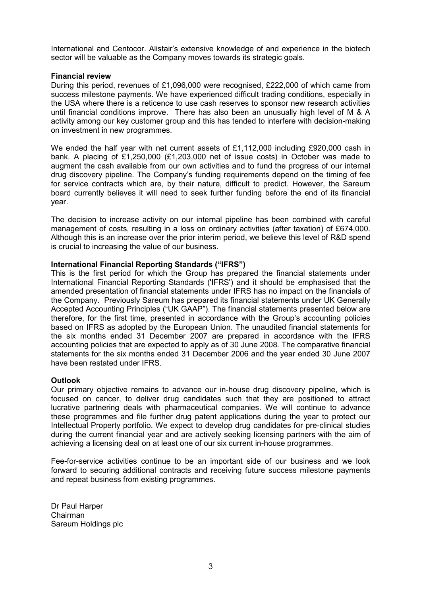International and Centocor. Alistair's extensive knowledge of and experience in the biotech sector will be valuable as the Company moves towards its strategic goals.

## Financial review

During this period, revenues of £1,096,000 were recognised, £222,000 of which came from success milestone payments. We have experienced difficult trading conditions, especially in the USA where there is a reticence to use cash reserves to sponsor new research activities until financial conditions improve. There has also been an unusually high level of M & A activity among our key customer group and this has tended to interfere with decision-making on investment in new programmes.

We ended the half year with net current assets of £1,112,000 including £920,000 cash in bank. A placing of £1,250,000 (£1,203,000 net of issue costs) in October was made to augment the cash available from our own activities and to fund the progress of our internal drug discovery pipeline. The Company's funding requirements depend on the timing of fee for service contracts which are, by their nature, difficult to predict. However, the Sareum board currently believes it will need to seek further funding before the end of its financial year.

The decision to increase activity on our internal pipeline has been combined with careful management of costs, resulting in a loss on ordinary activities (after taxation) of £674,000. Although this is an increase over the prior interim period, we believe this level of R&D spend is crucial to increasing the value of our business.

### International Financial Reporting Standards ("IFRS")

This is the first period for which the Group has prepared the financial statements under International Financial Reporting Standards ('IFRS') and it should be emphasised that the amended presentation of financial statements under IFRS has no impact on the financials of the Company. Previously Sareum has prepared its financial statements under UK Generally Accepted Accounting Principles ("UK GAAP"). The financial statements presented below are therefore, for the first time, presented in accordance with the Group's accounting policies based on IFRS as adopted by the European Union. The unaudited financial statements for the six months ended 31 December 2007 are prepared in accordance with the IFRS accounting policies that are expected to apply as of 30 June 2008. The comparative financial statements for the six months ended 31 December 2006 and the year ended 30 June 2007 have been restated under IFRS.

# **Outlook**

Our primary objective remains to advance our in-house drug discovery pipeline, which is focused on cancer, to deliver drug candidates such that they are positioned to attract lucrative partnering deals with pharmaceutical companies. We will continue to advance these programmes and file further drug patent applications during the year to protect our Intellectual Property portfolio. We expect to develop drug candidates for pre-clinical studies during the current financial year and are actively seeking licensing partners with the aim of achieving a licensing deal on at least one of our six current in-house programmes.

Fee-for-service activities continue to be an important side of our business and we look forward to securing additional contracts and receiving future success milestone payments and repeat business from existing programmes.

Dr Paul Harper Chairman Sareum Holdings plc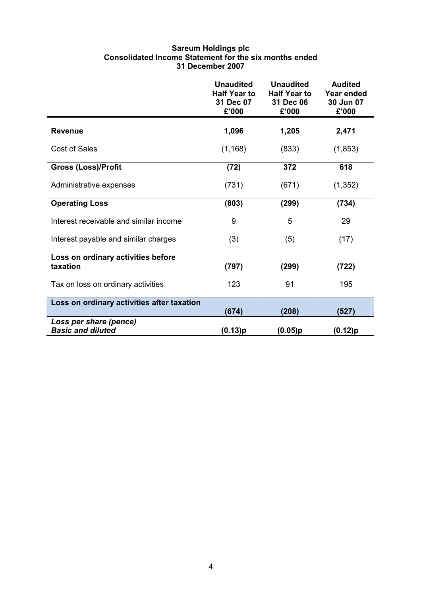### Sareum Holdings plc Consolidated Income Statement for the six months ended 31 December 2007

|                                                    | <b>Unaudited</b><br><b>Half Year to</b><br>31 Dec 07<br>£'000 | <b>Unaudited</b><br><b>Half Year to</b><br>31 Dec 06<br>£'000 | <b>Audited</b><br>Year ended<br>30 Jun 07<br>£'000 |
|----------------------------------------------------|---------------------------------------------------------------|---------------------------------------------------------------|----------------------------------------------------|
| <b>Revenue</b>                                     | 1,096                                                         | 1,205                                                         | 2,471                                              |
| <b>Cost of Sales</b>                               | (1, 168)                                                      | (833)                                                         | (1,853)                                            |
| <b>Gross (Loss)/Profit</b>                         | (72)                                                          | 372                                                           | 618                                                |
| Administrative expenses                            | (731)                                                         | (671)                                                         | (1, 352)                                           |
| <b>Operating Loss</b>                              | (803)                                                         | (299)                                                         | (734)                                              |
| Interest receivable and similar income             | 9                                                             | 5                                                             | 29                                                 |
| Interest payable and similar charges               | (3)                                                           | (5)                                                           | (17)                                               |
| Loss on ordinary activities before<br>taxation     | (797)                                                         | (299)                                                         | (722)                                              |
| Tax on loss on ordinary activities                 | 123                                                           | 91                                                            | 195                                                |
| Loss on ordinary activities after taxation         | (674)                                                         | (208)                                                         | (527)                                              |
| Loss per share (pence)<br><b>Basic and diluted</b> | (0.13)p                                                       | (0.05)p                                                       | (0.12)p                                            |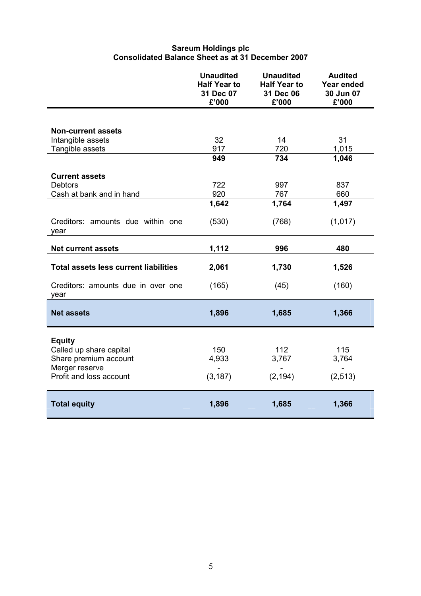|                                                  | <b>Unaudited</b><br><b>Half Year to</b><br>31 Dec 07<br>£'000 | <b>Unaudited</b><br><b>Half Year to</b><br>31 Dec 06<br>£'000 | <b>Audited</b><br><b>Year ended</b><br>30 Jun 07<br>£'000 |
|--------------------------------------------------|---------------------------------------------------------------|---------------------------------------------------------------|-----------------------------------------------------------|
|                                                  |                                                               |                                                               |                                                           |
| <b>Non-current assets</b><br>Intangible assets   | 32                                                            | 14                                                            | 31                                                        |
| Tangible assets                                  | 917                                                           | 720                                                           | 1,015                                                     |
|                                                  | 949                                                           | 734                                                           | 1,046                                                     |
| <b>Current assets</b>                            |                                                               |                                                               |                                                           |
| <b>Debtors</b>                                   | 722                                                           | 997                                                           | 837                                                       |
| Cash at bank and in hand                         | 920                                                           | 767                                                           | 660                                                       |
|                                                  | 1,642                                                         | 1,764                                                         | 1,497                                                     |
| Creditors: amounts due within one<br>vear        | (530)                                                         | (768)                                                         | (1,017)                                                   |
| <b>Net current assets</b>                        | 1,112                                                         | 996                                                           | 480                                                       |
| <b>Total assets less current liabilities</b>     | 2,061                                                         | 1,730                                                         | 1,526                                                     |
| Creditors: amounts due in over one<br>year       | (165)                                                         | (45)                                                          | (160)                                                     |
| <b>Net assets</b>                                | 1,896                                                         | 1,685                                                         | 1,366                                                     |
| <b>Equity</b>                                    |                                                               |                                                               |                                                           |
| Called up share capital<br>Share premium account | 150<br>4,933                                                  | 112<br>3,767                                                  | 115<br>3,764                                              |
| Merger reserve                                   |                                                               | $\blacksquare$                                                | $\blacksquare$                                            |
| Profit and loss account                          | (3, 187)                                                      | (2, 194)                                                      | (2, 513)                                                  |
| <b>Total equity</b>                              | 1,896                                                         | 1,685                                                         | 1,366                                                     |

# Sareum Holdings plc Consolidated Balance Sheet as at 31 December 2007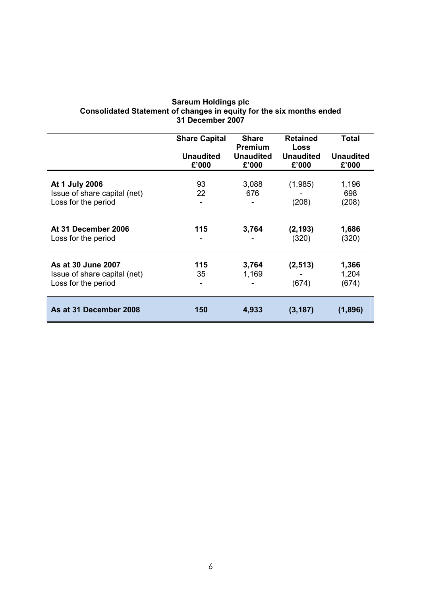|                                                                           | <b>Share Capital</b>      | <b>Share</b><br><b>Premium</b> | <b>Retained</b><br><b>Loss</b> | Total                     |
|---------------------------------------------------------------------------|---------------------------|--------------------------------|--------------------------------|---------------------------|
|                                                                           | <b>Unaudited</b><br>£'000 | <b>Unaudited</b><br>£'000      | <b>Unaudited</b><br>£'000      | <b>Unaudited</b><br>£'000 |
| At 1 July 2006<br>Issue of share capital (net)<br>Loss for the period     | 93<br>22                  | 3,088<br>676                   | (1,985)<br>(208)               | 1,196<br>698<br>(208)     |
| At 31 December 2006<br>Loss for the period                                | 115                       | 3,764                          | (2, 193)<br>(320)              | 1,686<br>(320)            |
| As at 30 June 2007<br>Issue of share capital (net)<br>Loss for the period | 115<br>35                 | 3,764<br>1,169                 | (2, 513)<br>(674)              | 1,366<br>1,204<br>(674)   |
| As at 31 December 2008                                                    | 150                       | 4,933                          | (3, 187)                       | (1,896)                   |

#### Sareum Holdings plc Consolidated Statement of changes in equity for the six months ended 31 December 2007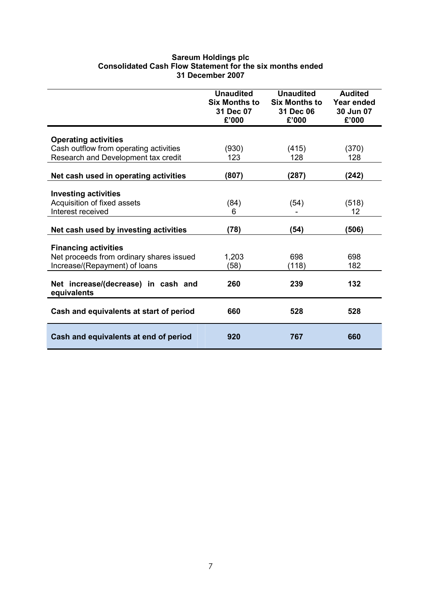## Sareum Holdings plc Consolidated Cash Flow Statement for the six months ended 31 December 2007

|                                                    | <b>Unaudited</b><br><b>Six Months to</b><br>31 Dec 07<br>£'000 | <b>Unaudited</b><br><b>Six Months to</b><br>31 Dec 06<br>£'000 | <b>Audited</b><br>Year ended<br>30 Jun 07<br>£'000 |
|----------------------------------------------------|----------------------------------------------------------------|----------------------------------------------------------------|----------------------------------------------------|
| <b>Operating activities</b>                        |                                                                |                                                                |                                                    |
| Cash outflow from operating activities             | (930)                                                          | (415)                                                          | (370)                                              |
| Research and Development tax credit                | 123                                                            | 128                                                            | 128                                                |
|                                                    |                                                                |                                                                |                                                    |
| Net cash used in operating activities              | (807)                                                          | (287)                                                          | (242)                                              |
|                                                    |                                                                |                                                                |                                                    |
| <b>Investing activities</b>                        |                                                                |                                                                |                                                    |
| Acquisition of fixed assets                        | (84)                                                           | (54)                                                           | (518)                                              |
| Interest received                                  | 6                                                              |                                                                | 12                                                 |
| Net cash used by investing activities              | (78)                                                           | (54)                                                           | (506)                                              |
|                                                    |                                                                |                                                                |                                                    |
| <b>Financing activities</b>                        |                                                                |                                                                |                                                    |
| Net proceeds from ordinary shares issued           | 1,203                                                          | 698                                                            | 698                                                |
| Increase/(Repayment) of loans                      | (58)                                                           | (118)                                                          | 182                                                |
| Net increase/(decrease) in cash and<br>equivalents | 260                                                            | 239                                                            | 132                                                |
| Cash and equivalents at start of period            | 660                                                            | 528                                                            | 528                                                |
| Cash and equivalents at end of period              | 920                                                            | 767                                                            | 660                                                |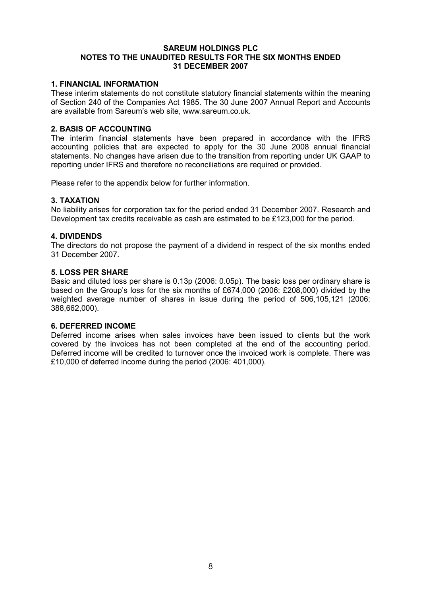#### SAREUM HOLDINGS PLC NOTES TO THE UNAUDITED RESULTS FOR THE SIX MONTHS ENDED 31 DECEMBER 2007

## 1. FINANCIAL INFORMATION

These interim statements do not constitute statutory financial statements within the meaning of Section 240 of the Companies Act 1985. The 30 June 2007 Annual Report and Accounts are available from Sareum's web site, www.sareum.co.uk.

### 2. BASIS OF ACCOUNTING

The interim financial statements have been prepared in accordance with the IFRS accounting policies that are expected to apply for the 30 June 2008 annual financial statements. No changes have arisen due to the transition from reporting under UK GAAP to reporting under IFRS and therefore no reconciliations are required or provided.

Please refer to the appendix below for further information.

### 3. TAXATION

No liability arises for corporation tax for the period ended 31 December 2007. Research and Development tax credits receivable as cash are estimated to be £123,000 for the period.

### 4. DIVIDENDS

The directors do not propose the payment of a dividend in respect of the six months ended 31 December 2007.

#### 5. LOSS PER SHARE

Basic and diluted loss per share is 0.13p (2006: 0.05p). The basic loss per ordinary share is based on the Group's loss for the six months of £674,000 (2006: £208,000) divided by the weighted average number of shares in issue during the period of 506,105,121 (2006: 388,662,000).

#### 6. DEFERRED INCOME

Deferred income arises when sales invoices have been issued to clients but the work covered by the invoices has not been completed at the end of the accounting period. Deferred income will be credited to turnover once the invoiced work is complete. There was £10,000 of deferred income during the period (2006: 401,000).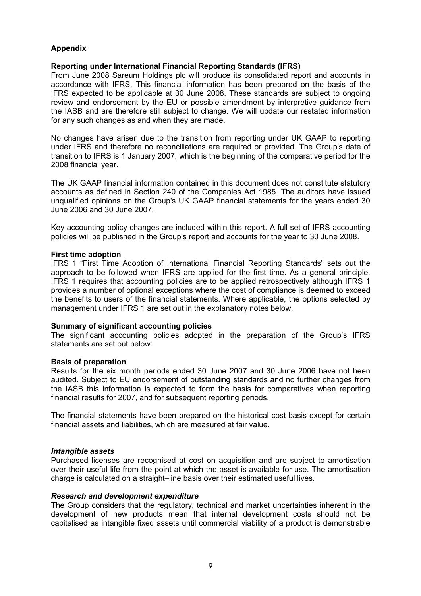# Appendix

# Reporting under International Financial Reporting Standards (IFRS)

From June 2008 Sareum Holdings plc will produce its consolidated report and accounts in accordance with IFRS. This financial information has been prepared on the basis of the IFRS expected to be applicable at 30 June 2008. These standards are subject to ongoing review and endorsement by the EU or possible amendment by interpretive guidance from the IASB and are therefore still subject to change. We will update our restated information for any such changes as and when they are made.

No changes have arisen due to the transition from reporting under UK GAAP to reporting under IFRS and therefore no reconciliations are required or provided. The Group's date of transition to IFRS is 1 January 2007, which is the beginning of the comparative period for the 2008 financial year.

The UK GAAP financial information contained in this document does not constitute statutory accounts as defined in Section 240 of the Companies Act 1985. The auditors have issued unqualified opinions on the Group's UK GAAP financial statements for the years ended 30 June 2006 and 30 June 2007.

Key accounting policy changes are included within this report. A full set of IFRS accounting policies will be published in the Group's report and accounts for the year to 30 June 2008.

#### First time adoption

IFRS 1 "First Time Adoption of International Financial Reporting Standards" sets out the approach to be followed when IFRS are applied for the first time. As a general principle, IFRS 1 requires that accounting policies are to be applied retrospectively although IFRS 1 provides a number of optional exceptions where the cost of compliance is deemed to exceed the benefits to users of the financial statements. Where applicable, the options selected by management under IFRS 1 are set out in the explanatory notes below.

#### Summary of significant accounting policies

The significant accounting policies adopted in the preparation of the Group's IFRS statements are set out below:

#### Basis of preparation

Results for the six month periods ended 30 June 2007 and 30 June 2006 have not been audited. Subject to EU endorsement of outstanding standards and no further changes from the IASB this information is expected to form the basis for comparatives when reporting financial results for 2007, and for subsequent reporting periods.

The financial statements have been prepared on the historical cost basis except for certain financial assets and liabilities, which are measured at fair value.

#### Intangible assets

Purchased licenses are recognised at cost on acquisition and are subject to amortisation over their useful life from the point at which the asset is available for use. The amortisation charge is calculated on a straight–line basis over their estimated useful lives.

#### Research and development expenditure

The Group considers that the regulatory, technical and market uncertainties inherent in the development of new products mean that internal development costs should not be capitalised as intangible fixed assets until commercial viability of a product is demonstrable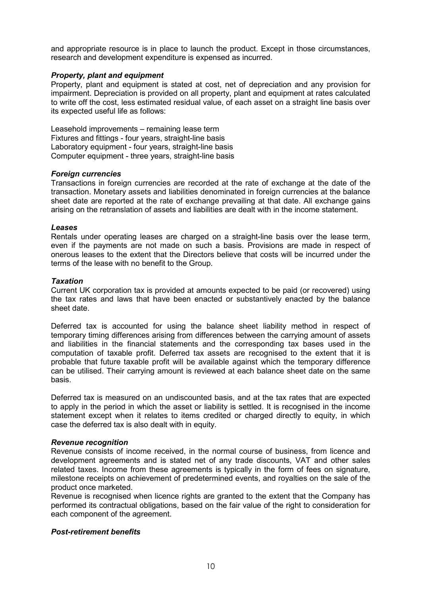and appropriate resource is in place to launch the product. Except in those circumstances, research and development expenditure is expensed as incurred.

## Property, plant and equipment

Property, plant and equipment is stated at cost, net of depreciation and any provision for impairment. Depreciation is provided on all property, plant and equipment at rates calculated to write off the cost, less estimated residual value, of each asset on a straight line basis over its expected useful life as follows:

Leasehold improvements – remaining lease term Fixtures and fittings - four years, straight-line basis Laboratory equipment - four years, straight-line basis Computer equipment - three years, straight-line basis

### Foreign currencies

Transactions in foreign currencies are recorded at the rate of exchange at the date of the transaction. Monetary assets and liabilities denominated in foreign currencies at the balance sheet date are reported at the rate of exchange prevailing at that date. All exchange gains arising on the retranslation of assets and liabilities are dealt with in the income statement.

### Leases

Rentals under operating leases are charged on a straight-line basis over the lease term, even if the payments are not made on such a basis. Provisions are made in respect of onerous leases to the extent that the Directors believe that costs will be incurred under the terms of the lease with no benefit to the Group.

### **Taxation**

Current UK corporation tax is provided at amounts expected to be paid (or recovered) using the tax rates and laws that have been enacted or substantively enacted by the balance sheet date.

Deferred tax is accounted for using the balance sheet liability method in respect of temporary timing differences arising from differences between the carrying amount of assets and liabilities in the financial statements and the corresponding tax bases used in the computation of taxable profit. Deferred tax assets are recognised to the extent that it is probable that future taxable profit will be available against which the temporary difference can be utilised. Their carrying amount is reviewed at each balance sheet date on the same basis.

Deferred tax is measured on an undiscounted basis, and at the tax rates that are expected to apply in the period in which the asset or liability is settled. It is recognised in the income statement except when it relates to items credited or charged directly to equity, in which case the deferred tax is also dealt with in equity.

# Revenue recognition

Revenue consists of income received, in the normal course of business, from licence and development agreements and is stated net of any trade discounts, VAT and other sales related taxes. Income from these agreements is typically in the form of fees on signature, milestone receipts on achievement of predetermined events, and royalties on the sale of the product once marketed.

Revenue is recognised when licence rights are granted to the extent that the Company has performed its contractual obligations, based on the fair value of the right to consideration for each component of the agreement.

# Post-retirement benefits